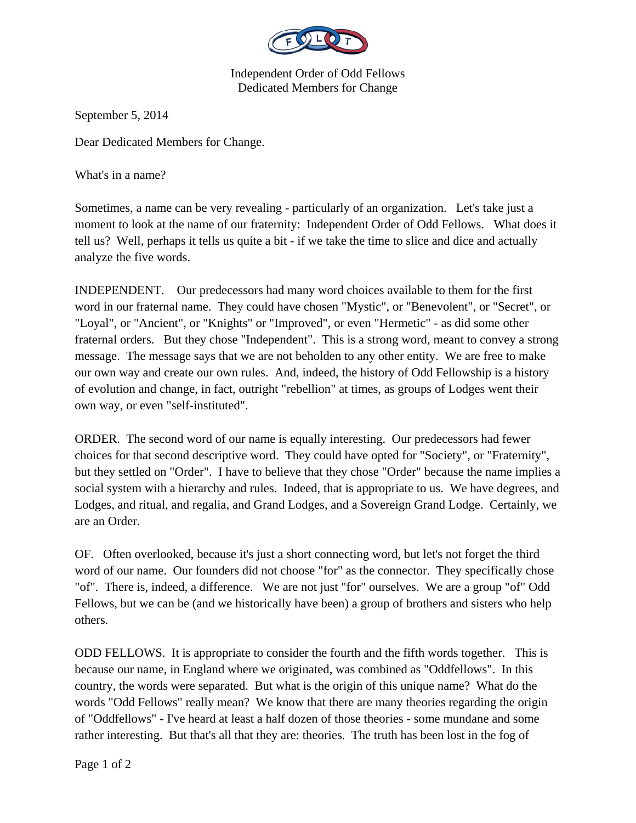

Independent Order of Odd Fellows Dedicated Members for Change

September 5, 2014

Dear Dedicated Members for Change.

What's in a name?

Sometimes, a name can be very revealing - particularly of an organization. Let's take just a moment to look at the name of our fraternity: Independent Order of Odd Fellows. What does it tell us? Well, perhaps it tells us quite a bit - if we take the time to slice and dice and actually analyze the five words.

INDEPENDENT. Our predecessors had many word choices available to them for the first word in our fraternal name. They could have chosen "Mystic", or "Benevolent", or "Secret", or "Loyal", or "Ancient", or "Knights" or "Improved", or even "Hermetic" - as did some other fraternal orders. But they chose "Independent". This is a strong word, meant to convey a strong message. The message says that we are not beholden to any other entity. We are free to make our own way and create our own rules. And, indeed, the history of Odd Fellowship is a history of evolution and change, in fact, outright "rebellion" at times, as groups of Lodges went their own way, or even "self-instituted".

ORDER. The second word of our name is equally interesting. Our predecessors had fewer choices for that second descriptive word. They could have opted for "Society", or "Fraternity", but they settled on "Order". I have to believe that they chose "Order" because the name implies a social system with a hierarchy and rules. Indeed, that is appropriate to us. We have degrees, and Lodges, and ritual, and regalia, and Grand Lodges, and a Sovereign Grand Lodge. Certainly, we are an Order.

OF. Often overlooked, because it's just a short connecting word, but let's not forget the third word of our name. Our founders did not choose "for" as the connector. They specifically chose "of". There is, indeed, a difference. We are not just "for" ourselves. We are a group "of" Odd Fellows, but we can be (and we historically have been) a group of brothers and sisters who help others.

ODD FELLOWS. It is appropriate to consider the fourth and the fifth words together. This is because our name, in England where we originated, was combined as "Oddfellows". In this country, the words were separated. But what is the origin of this unique name? What do the words "Odd Fellows" really mean? We know that there are many theories regarding the origin of "Oddfellows" - I've heard at least a half dozen of those theories - some mundane and some rather interesting. But that's all that they are: theories. The truth has been lost in the fog of